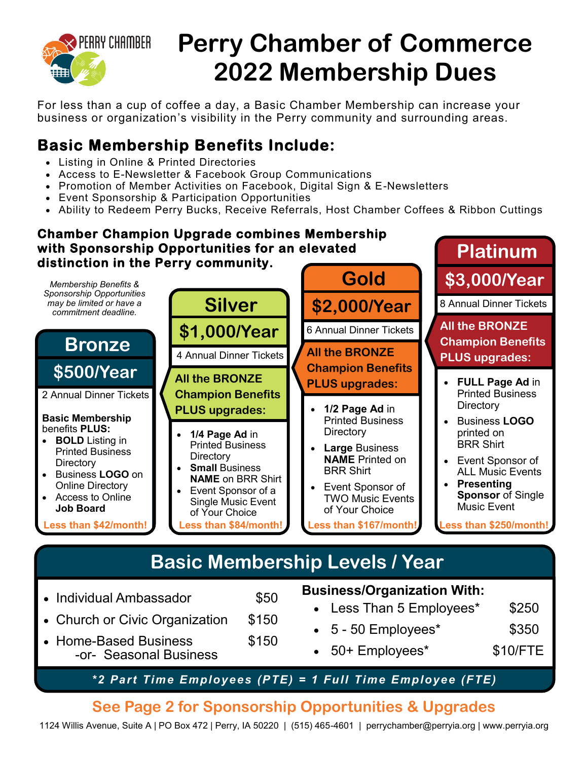

# **Perry Chamber of Commerce 2022 Membership Dues**

For less than a cup of coffee a day, a Basic Chamber Membership can increase your business or organization's visibility in the Perry community and surrounding areas.

## **Basic Membership Benefits Include:**

- Listing in Online & Printed Directories
- Access to E-Newsletter & Facebook Group Communications
- Promotion of Member Activities on Facebook, Digital Sign & E-Newsletters
- Event Sponsorship & Participation Opportunities
- Ability to Redeem Perry Bucks, Receive Referrals, Host Chamber Coffees & Ribbon Cuttings

#### **Chamber Champion Upgrade combines Membership with Sponsorship Opportunities for an elevated distinction in the Perry community.**



- Church or Civic Organization \$150 • Home-Based Business \$150
	- -or- Seasonal Business
- Less Than 5 Employees\* \$250 • 5 - 50 Employees\* \$350

**Platinum**

- 50+ Employees\* \$10/FTE
- *\*2 Part Time Employees (PTE) = 1 Full Time Employee (FTE)*

## **See Page 2 for Sponsorship Opportunities & Upgrades**

1124 Willis Avenue, Suite A | PO Box 472 | Perry, IA 50220 | (515) 465-4601 | perrychamber@perryia.org | www.perryia.org